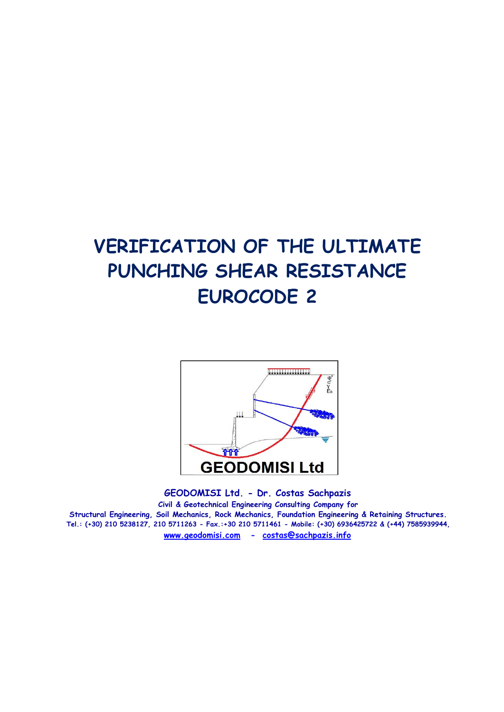# **VERIFICATION OF THE ULTIMATE PUNCHING SHEAR RESISTANCE EUROCODE 2**



**GEODOMISI Ltd. - Dr. Costas Sachpazis Civil & Geotechnical Engineering Consulting Company for Structural Engineering, Soil Mechanics, Rock Mechanics, Foundation Engineering & Retaining Structures. Tel.: (+30) 210 5238127, 210 5711263 - Fax.:+30 210 5711461 - Mobile: (+30) 6936425722 & (+44) 7585939944, www.geodomisi.com - costas@sachpazis.info**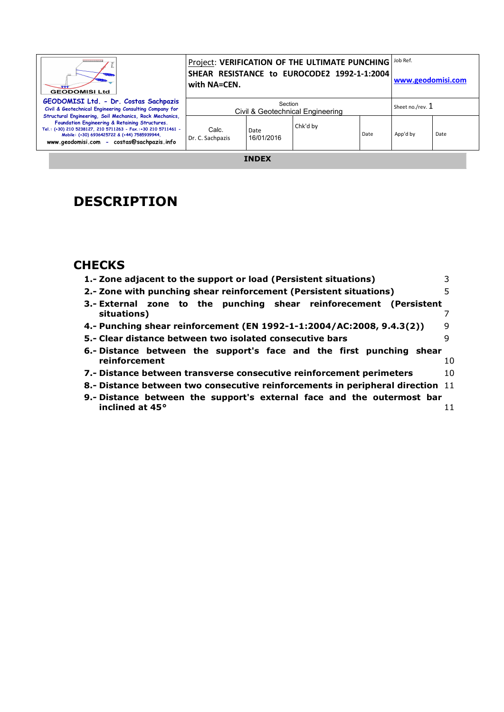| ,,,,,,,,,,,,,,,,<br><b>GEODOMISI Ltd</b>                                                                                                                                                                                                                                | with NA=CEN.              |                    | Project: VERIFICATION OF THE ULTIMATE PUNCHING<br>SHEAR RESISTANCE to EUROCODE2 1992-1-1:2004 |      | Job Ref.<br>www.geodomisi.com |      |
|-------------------------------------------------------------------------------------------------------------------------------------------------------------------------------------------------------------------------------------------------------------------------|---------------------------|--------------------|-----------------------------------------------------------------------------------------------|------|-------------------------------|------|
| GEODOMISI Ltd. - Dr. Costas Sachpazis<br>Civil & Geotechnical Engineering Consulting Company for                                                                                                                                                                        |                           | Section            | Civil & Geotechnical Engineering                                                              |      | Sheet no./rev. 1              |      |
| Structural Engineering, Soil Mechanics, Rock Mechanics,<br>Foundation Engineering & Retaining Structures.<br>Tel.: (+30) 210 5238127, 210 5711263 - Fax.:+30 210 5711461 -<br>Mobile: (+30) 6936425722 & (+44) 7585939944,<br>www.geodomisi.com - costas@sachpazis.info | Calc.<br>Dr. C. Sachpazis | Date<br>16/01/2016 | Chk'd by                                                                                      | Date | App'd by                      | Date |

**INDEX** 

## **DESCRIPTION**

### **CHECKS**

| 1.- Zone adjacent to the support or load (Persistent situations)               |     |
|--------------------------------------------------------------------------------|-----|
| 2.- Zone with punching shear reinforcement (Persistent situations)             | 5   |
| 3.- External zone to the punching shear reinforecement (Persistent             |     |
| situations)                                                                    |     |
| 4.- Punching shear reinforcement (EN 1992-1-1:2004/AC:2008, 9.4.3(2))          | 9   |
| 5.- Clear distance between two isolated consecutive bars                       | q   |
| 6.- Distance between the support's face and the first punching shear           |     |
| reinforcement                                                                  | 10. |
| 7.- Distance between transverse consecutive reinforcement perimeters           | 10  |
| 8.- Distance between two consecutive reinforcements in peripheral direction 11 |     |
|                                                                                |     |
| 9.- Distance between the support's external face and the outermost bar         |     |
| inclined at 45°                                                                | 11  |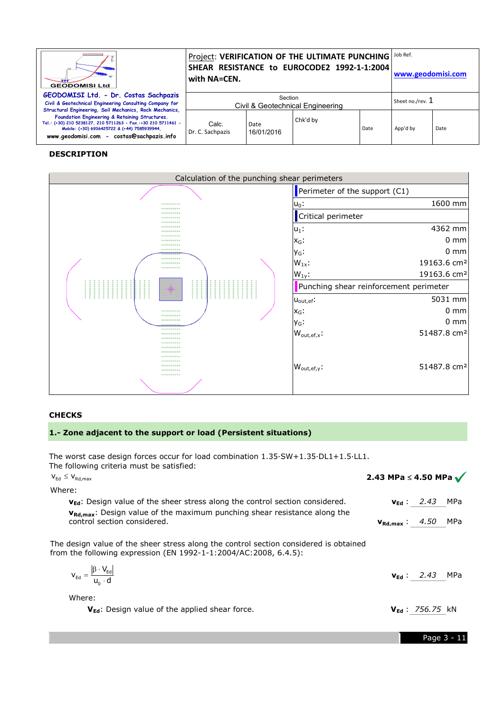| ,,,,,,,,,,,,,,,<br><b>GEODOMISI Ltd</b>                                                                                                                                                                                                                                 | with NA=CEN.                                                    |                    | Project: VERIFICATION OF THE ULTIMATE PUNCHING<br>SHEAR RESISTANCE to EUROCODE2 1992-1-1:2004 |      | Job Ref.<br>www.geodomisi.com |      |
|-------------------------------------------------------------------------------------------------------------------------------------------------------------------------------------------------------------------------------------------------------------------------|-----------------------------------------------------------------|--------------------|-----------------------------------------------------------------------------------------------|------|-------------------------------|------|
| GEODOMISI Ltd. - Dr. Costas Sachpazis<br>Civil & Geotechnical Engineering Consulting Company for                                                                                                                                                                        | Section<br>Sheet no./rev. 1<br>Civil & Geotechnical Engineering |                    |                                                                                               |      |                               |      |
| Structural Engineering, Soil Mechanics, Rock Mechanics,<br>Foundation Engineering & Retaining Structures.<br>Tel.: (+30) 210 5238127, 210 5711263 - Fax.:+30 210 5711461 -<br>Mobile: (+30) 6936425722 & (+44) 7585939944.<br>www.geodomisi.com - costas@sachpazis.info | Calc.<br>Dr. C. Sachpazis                                       | Date<br>16/01/2016 | Chk'd by                                                                                      | Date | App'd by                      | Date |

#### **DESCRIPTION**

| Calculation of the punching shear perimeters                 |                                                    |  |  |  |
|--------------------------------------------------------------|----------------------------------------------------|--|--|--|
|                                                              | Perimeter of the support (C1)                      |  |  |  |
| 00000000000<br>0000000000                                    | 1600 mm<br>$u_0$ :                                 |  |  |  |
| 00000000000<br>00000000000<br>00000000000                    | Critical perimeter                                 |  |  |  |
| 00000000000<br>00000000000                                   | 4362 mm<br>$ u_1:$                                 |  |  |  |
| 00000000000<br>00000000000<br>00000000000                    | $0 \text{ mm}$<br>$X_G$ :                          |  |  |  |
| 00000000000<br>00000000<br>00000000000                       | $0 \text{ mm}$<br>y <sub>G</sub> :                 |  |  |  |
| 00000000000<br>00000000000                                   | 19163.6 cm <sup>2</sup><br>$W_{1x}$ :              |  |  |  |
|                                                              | 19163.6 cm <sup>2</sup><br>$W_{1v}$ :              |  |  |  |
| $\begin{array}{c} 0.0000000 \\ 0.0000000 \end{array}$<br>-@) | Punching shear reinforcement perimeter             |  |  |  |
|                                                              | 5031 mm<br>$U_{\text{out,ef}}$ :                   |  |  |  |
| 0000000000<br>00000000000                                    | $0 \text{ mm}$<br>$x_G$ :                          |  |  |  |
| 00000000000<br>000000000<br>00000000000                      | $0 \text{ mm}$<br>y <sub>G</sub> :                 |  |  |  |
| 0000000000<br>00000000000                                    | 51487.8 cm <sup>2</sup><br>$W_{\text{out,ef,x}}$ : |  |  |  |
| 0000000000<br>00000000000<br>00000000000                     |                                                    |  |  |  |
| 00000000000<br>00000000000                                   |                                                    |  |  |  |
| 00000000000<br>00000000000<br>00000000000                    | 51487.8 cm <sup>2</sup><br>$W_{\text{out,ef,y}}$ . |  |  |  |
|                                                              |                                                    |  |  |  |

#### **CHECKS**

#### **1.- Zone adjacent to the support or load (Persistent situations)**

The worst case design forces occur for load combination 1.35·SW+1.35·DL1+1.5·LL1. The following criteria must be satisfied:

| The worst case design forces occur for load combination $1.35 \cdot SW + 1.35 \cdot D L1 + 1.5 \cdot LL1$ .<br>The following criteria must be satisfied:  |                                       |                             |  |
|-----------------------------------------------------------------------------------------------------------------------------------------------------------|---------------------------------------|-----------------------------|--|
| $V_{\text{Ed}} \leq V_{\text{Rd,max}}$                                                                                                                    | 2.43 MPa $\leq$ 4.50 MPa $\checkmark$ |                             |  |
| Where:                                                                                                                                                    |                                       |                             |  |
| $v_{\text{Ed}}$ : Design value of the sheer stress along the control section considered.                                                                  |                                       | $v_{Ed}: 2.43$ MPa          |  |
| $v_{\rm Rd,max}$ : Design value of the maximum punching shear resistance along the<br>control section considered.                                         | $v_{Rd,max}$ : 4.50 MPa               |                             |  |
| The design value of the sheer stress along the control section considered is obtained<br>from the following expression (EN 1992-1-1:2004/AC:2008, 6.4.5): |                                       |                             |  |
| $V_{\text{Ed}} = \frac{ \beta \cdot V_{\text{Ed}} }{V_{\text{B}} \cdot d}$                                                                                |                                       | $v_{\text{Ed}}$ : 2.43 MPa  |  |
| Where:                                                                                                                                                    |                                       |                             |  |
| V <sub>Ed</sub> : Design value of the applied shear force.                                                                                                |                                       | $V_{\text{Ed}}$ : 756.75 kN |  |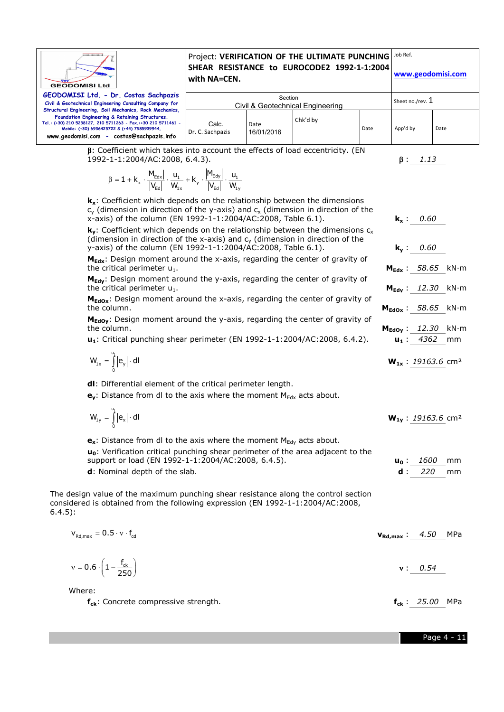

**fck**: Concrete compressive strength. **fck** : *25.00* MPa

Page 4 - 11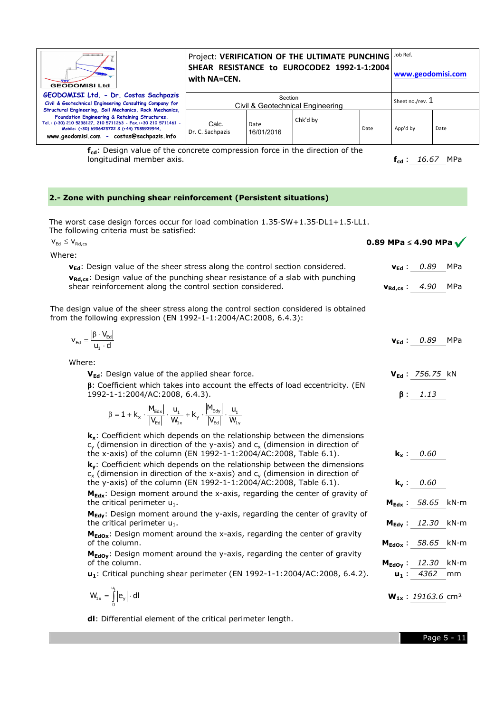| ,,,,,,,,,,,,,,,<br><b>GEODOMISI Ltd</b>                                                                                                                                                                                                                                 | with NA=CEN.              |                    | Project: VERIFICATION OF THE ULTIMATE PUNCHING<br>SHEAR RESISTANCE to EUROCODE2 1992-1-1:2004 |      | Job Ref.<br>www.geodomisi.com |      |  |
|-------------------------------------------------------------------------------------------------------------------------------------------------------------------------------------------------------------------------------------------------------------------------|---------------------------|--------------------|-----------------------------------------------------------------------------------------------|------|-------------------------------|------|--|
| GEODOMISI Ltd. - Dr. Costas Sachpazis<br>Section<br>Civil & Geotechnical Engineering Consulting Company for<br>Civil & Geotechnical Engineering                                                                                                                         |                           |                    |                                                                                               |      | Sheet no./rev. $1$            |      |  |
| Structural Engineering, Soil Mechanics, Rock Mechanics,<br>Foundation Engineering & Retaining Structures.<br>Tel.: (+30) 210 5238127, 210 5711263 - Fax.:+30 210 5711461 -<br>Mobile: (+30) 6936425722 & (+44) 7585939944.<br>www.geodomisi.com - costas@sachpazis.info | Calc.<br>Dr. C. Sachpazis | Date<br>16/01/2016 | Chk'd by                                                                                      | Date | App'd by                      | Date |  |
| f <sub>cd</sub> : Design value of the concrete compression force in the direction of the                                                                                                                                                                                |                           |                    |                                                                                               |      |                               |      |  |

longitudinal member axis.

#### **2.- Zone with punching shear reinforcement (Persistent situations)**

The worst case design forces occur for load combination 1.35·SW+1.35·DL1+1.5·LL1. The following criteria must be satisfied:

Where: **v<sub>Ed</sub>**: Design value of the sheer stress along the control section considered. **vRd,cs**: Design value of the punching shear resistance of a slab with punching shear reinforcement along the control section considered.  $\mathsf{V}_{\mathsf{Ed}} \leq \mathsf{V}_{\mathsf{Rd},\mathsf{cs}}$ case design forces occur for load combination 1.35.S<br>ing criteria must be satisfied:<br>Design value of the sheer stress along the control sec<br>: Design value of the punching shear resistance of a<br>reinforcement along the contr **0.89 MPa** ≤ **4.90 MPa vEd** : *0.89* MPa **vRd,cs** : *4.90* MPa

The design value of the sheer stress along the control section considered is obtained from the following expression (EN 1992-1-1:2004/AC:2008, 6.4.3):

| $V_{Ed}$<br>$\sim$ $\sim$ | $\beta$<br>$3 \cdot V_{\text{Ed}}$<br>u,<br>u | __ | $v_{Ed}: 0.89$ | MPa |
|---------------------------|-----------------------------------------------|----|----------------|-----|
|                           |                                               |    |                |     |

Where:

**VEd**: Design value of the applied shear force.  $\beta$ : Coefficient which takes into account the effects of load eccentricity. (EN 1992-1-1:2004/AC:2008, 6.4.3). icient which takes into account the effects of load eccentricity. (EI<br>1:2004/AC:2008, 6.4.3).<br>  $\frac{1}{2}$   $\frac{1}{2}$   $\frac{1}{2}$   $\frac{1}{2}$   $\frac{1}{2}$   $\frac{1}{2}$   $\frac{1}{2}$   $\frac{1}{2}$   $\frac{1}{2}$   $\frac{1}{2}$   $\frac{1}{2}$   $\frac{1}{2}$   $\frac{1}{$ **VEd** : *756.75* kN β : *1.13* 

 $\frac{d_1}{dx} \cdot \frac{d_2}{w_{1x}} \cdot \frac{d_1}{w_{1x}} + k_y \cdot \frac{d_2}{w_{1y}} \cdot \frac{d_1}{w_{1y}}$  $\beta = 1 + k_x \cdot \frac{|M_{\text{Edx}}|}{|V_{\text{Ed}}|} \cdot \frac{u_1}{W_{1x}} + k_y \cdot \frac{|M_{\text{Edy}}|}{|V_{\text{Ed}}|} \cdot \frac{u_1}{W_{1x}}$  $M_{Edy}$ 

**k<sub>x</sub>**: Coefficient which depends on the relationship between the dimensions  $c_v$  (dimension in direction of the y-axis) and  $c_x$  (dimension in direction of the x-axis) of the column (EN 1992-1-1:2004/AC:2008, Table 6.1). **ky**: Coefficient which depends on the relationship between the dimensions  $\mathbf{k_y}$ : Coefficient which depends on the relationship between the dimension:<br>c<sub>x</sub> (dimension in direction of the x-axis) and c<sub>y</sub> (dimension in direction of the y-axis) of the column (EN 1992-1-1:2004/AC:2008, Table 6.1). **M<sub>Edx</sub>**: Design moment around the x-axis, regarding the center of gravity of the critical perimeter  $u_1$ . **M<sub>Edy</sub>**: Design moment around the y-axis, regarding the center of gravity of the critical perimeter  $u_1$ . **M<sub>EdOx</sub>**: Design moment around the x-axis, regarding the center of gravity of the column. **M<sub>EdOy</sub>:** Design moment around the y-axis, regarding the center of gravity of the column. **u**<sub>1</sub>: Critical punching shear perimeter (EN 1992-1-1:2004/AC:2008, 6.4.2). **u**<sub>1</sub>: 4362 mm **k<sup>x</sup>** : *0.60*  **k<sup>y</sup>** : *0.60*  **MEdx** : *58.65* kN·m **MEdy** : *12.30* kN·m **MEdOx** : *58.65* kN·m **MEdOy** : *12.30* kN·m

$$
W_{1x} = \int_{0}^{u_1} \left| e_y \right| \cdot \text{d}l \qquad \qquad W_{1x} : \underline{19163.6} \text{ cm}^2
$$

**dl**: Differential element of the critical perimeter length.

**fcd** : *16.67* MPa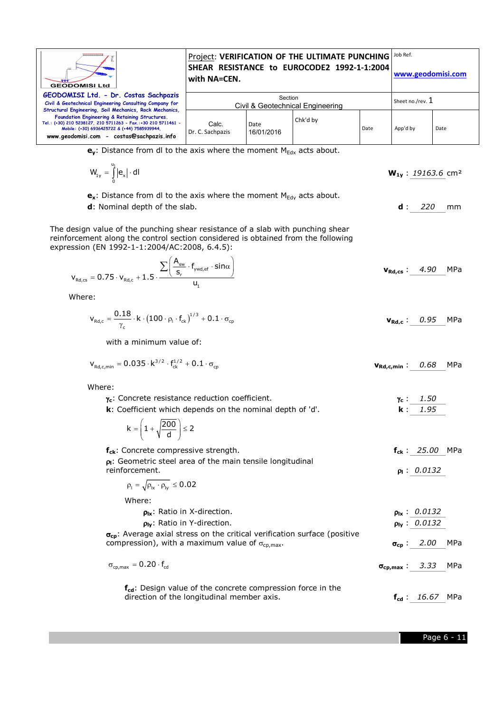

**e<sub>y</sub>**: Distance from dl to the axis where the moment M<sub>Edx</sub> acts about.

$$
W_{1y} = \int_{0}^{u_1} |e_x| \cdot dl
$$
 
$$
W_{1y} : \underline{19163.6} \text{ cm}^2
$$

 $\mathbf{e}_x$ : Distance from dl to the axis where the moment  $M_{Edy}$  acts about.

**d**: Nominal depth of the slab. **d** : *220* mm

under de la provincia de la provincia de la provincia de la provincia de la provincia de la provincia de la pr

The design value of the punching shear resistance of a slab with punching shear reinforcement along the control section considered is obtained from the following expression (EN 1992-1-1:2004/AC:2008, 6.4.5):

$$
v_{\text{Rd,cs}} = 0.75 \cdot v_{\text{Rd,c}} + 1.5 \cdot \frac{\sum \left( \frac{A_{\text{sw}}}{s_r} \cdot f_{\text{ywd,ef}} \cdot \sin \alpha \right)}{u_1}
$$
\n
$$
v_{\text{Rd,cs}} \cdot \frac{4.90 \text{ MPa}}{1.5 \cdot 1.5 \cdot 1.5 \cdot 1.5 \cdot 1.5 \cdot 1.5 \cdot 1.5 \cdot 1.5 \cdot 1.5 \cdot 1.5 \cdot 1.5 \cdot 1.5 \cdot 1.5 \cdot 1.5 \cdot 1.5 \cdot 1.5 \cdot 1.5 \cdot 1.5 \cdot 1.5 \cdot 1.5 \cdot 1.5 \cdot 1.5 \cdot 1.5 \cdot 1.5 \cdot 1.5 \cdot 1.5 \cdot 1.5 \cdot 1.5 \cdot 1.5 \cdot 1.5 \cdot 1.5 \cdot 1.5 \cdot 1.5 \cdot 1.5 \cdot 1.5 \cdot 1.5 \cdot 1.5 \cdot 1.5 \cdot 1.5 \cdot 1.5 \cdot 1.5 \cdot 1.5 \cdot 1.5 \cdot 1.5 \cdot 1.5 \cdot 1.5 \cdot 1.5 \cdot 1.5 \cdot 1.5 \cdot 1.5 \cdot 1.5 \cdot 1.5 \cdot 1.5 \cdot 1.5 \cdot 1.5 \cdot 1.5 \cdot 1.5 \cdot 1.5 \cdot 1.5 \cdot 1.5 \cdot 1.5 \cdot 1.5 \cdot 1.5 \cdot 1.5 \cdot 1.5 \cdot 1.5 \cdot 1.5 \cdot 1.5 \cdot 1.5 \cdot 1.5 \cdot 1.5 \cdot 1.5 \cdot 1.5 \cdot 1.5 \cdot 1.5 \cdot 1.5 \cdot 1.5 \cdot 1.5 \cdot 1.5 \cdot 1.5 \cdot 1.5 \cdot 1.5 \cdot 1.5 \cdot 1.5 \cdot 1.5 \cdot 1.5 \cdot 1.5 \cdot 1.5 \cdot 1.5 \cdot 1.5 \cdot 1.5 \cdot 1.5 \cdot 1.5 \cdot 1.5 \cdot 1.5 \cdot 1.5 \cdot 1.5 \cdot 1.5 \cdot 1.5 \cdot 1.5 \cdot 1.5 \cdot 1.5 \cdot 1.5 \cdot 1.5 \cdot 1.5 \cdot 1.5 \cdot 1.5 \cdot 1
$$

Where:

$$
\mathbf{v}_{\text{Rd},c} = \frac{0.18}{\gamma_c} \cdot k \cdot (100 \cdot \rho_l \cdot f_{ck})^{1/3} + 0.1 \cdot \sigma_{cp}
$$
\n
$$
\mathbf{v}_{\text{Rd},c} := \frac{0.95}{\gamma_c} \cdot 0.95 \cdot 0.95 \cdot 0.95 \cdot 0.95 \cdot 0.95 \cdot 0.95 \cdot 0.95 \cdot 0.95 \cdot 0.95 \cdot 0.95 \cdot 0.95 \cdot 0.95 \cdot 0.95 \cdot 0.95 \cdot 0.95 \cdot 0.95 \cdot 0.95 \cdot 0.95 \cdot 0.95 \cdot 0.95 \cdot 0.95 \cdot 0.95 \cdot 0.95 \cdot 0.95 \cdot 0.95 \cdot 0.95 \cdot 0.95 \cdot 0.95 \cdot 0.95 \cdot 0.95 \cdot 0.95 \cdot 0.95 \cdot 0.95 \cdot 0.95 \cdot 0.95 \cdot 0.95 \cdot 0.95 \cdot 0.95 \cdot 0.95 \cdot 0.95 \cdot 0.95 \cdot 0.95 \cdot 0.95 \cdot 0.95 \cdot 0.95 \cdot 0.95 \cdot 0.95 \cdot 0.95 \cdot 0.95 \cdot 0.95 \cdot 0.95 \cdot 0.95 \cdot 0.95 \cdot 0.95 \cdot 0.95 \cdot 0.95 \cdot 0.95 \cdot 0.95 \cdot 0.95 \cdot 0.95 \cdot 0.95 \cdot 0.95 \cdot 0.95 \cdot 0.95 \cdot 0.95 \cdot 0.95 \cdot 0.95 \cdot 0.95 \cdot 0.95 \cdot 0.95 \cdot 0.95 \cdot 0.95 \cdot 0.95 \cdot 0.95 \cdot 0.95 \cdot 0.95 \cdot 0.95 \cdot 0.95 \cdot 0.95 \cdot 0.95 \cdot 0.95 \cdot 0.95 \cdot 0.95 \cdot 0.95 \cdot 0.95 \cdot 0.95 \cdot 0.95 \cdot 0.95 \cdot 0.95 \cdot 0.95 \cdot 0.95 \cdot 0.95 \cdot 0.95 \cdot 0.95 \cdot
$$

with a minimum value of:

$$
v_{\text{Rd},\text{c,min}} = 0.035 \cdot k^{3/2} \cdot f_{\text{ck}}^{1/2} + 0.1 \cdot \sigma_{\text{cp}}
$$

Where:

| $\gamma_c$ : Concrete resistance reduction coefficient.                                                                                                  | $\gamma_c$ :             | 1.50                     |     |
|----------------------------------------------------------------------------------------------------------------------------------------------------------|--------------------------|--------------------------|-----|
| $\mathbf k$ : Coefficient which depends on the nominal depth of 'd'.                                                                                     | $\mathbf k$ :            | 1.95                     |     |
| $k = \left(1 + \sqrt{\frac{200}{d}}\right) \le 2$                                                                                                        |                          |                          |     |
| $f_{ck}$ : Concrete compressive strength.                                                                                                                |                          | $f_{ck}$ : 25.00 MPa     |     |
| $\rho$ : Geometric steel area of the main tensile longitudinal<br>reinforcement.                                                                         |                          | $p_1: 0.0132$            |     |
| $\rho_1 = \sqrt{\rho_{1x} \cdot \rho_{1y}} \le 0.02$                                                                                                     |                          |                          |     |
| Where:                                                                                                                                                   |                          |                          |     |
| $\rho_{\text{lx}}$ : Ratio in X-direction.                                                                                                               |                          | $p_{\text{lx}}$ : 0.0132 |     |
| $\rho_{\text{IV}}$ : Ratio in Y-direction.                                                                                                               |                          | $p_{1y}$ : 0.0132        |     |
| $\sigma_{\rm CD}$ : Average axial stress on the critical verification surface (positive<br>compression), with a maximum value of $\sigma_{\rm co,max}$ . |                          | $\sigma_{\rm CD}$ : 2.00 | MPa |
| $\sigma_{cp,max} = 0.20 \cdot f_{cd}$                                                                                                                    | $\sigma_{cp,max}$ : 3.33 |                          | MPa |
| f <sub>cd</sub> : Design value of the concrete compression force in the<br>direction of the longitudinal member axis.                                    |                          | $f_{cd}$ : 16.67 MPa     |     |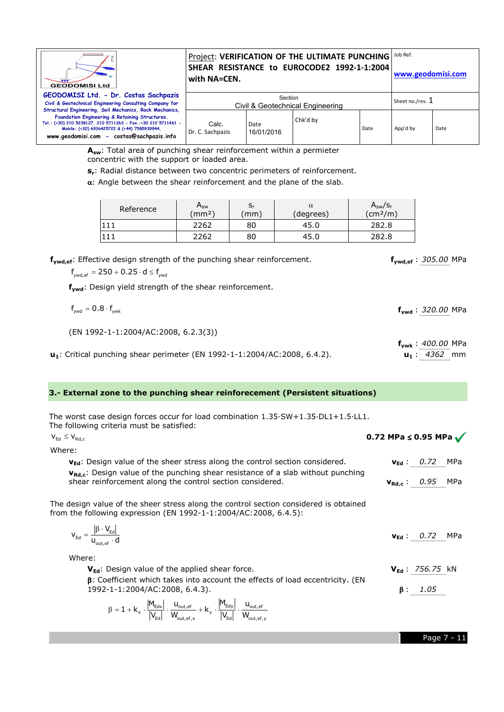| ---------------<br><b>GEODOMISI Ltd</b>                                                                                                                                                                                                                                 | with NA=CEN.              |                    | Project: VERIFICATION OF THE ULTIMATE PUNCHING<br>SHEAR RESISTANCE to EUROCODE2 1992-1-1:2004 |                  | Job Ref.<br>www.geodomisi.com |      |
|-------------------------------------------------------------------------------------------------------------------------------------------------------------------------------------------------------------------------------------------------------------------------|---------------------------|--------------------|-----------------------------------------------------------------------------------------------|------------------|-------------------------------|------|
| GEODOMISI Ltd. - Dr. Costas Sachpazis<br>Civil & Geotechnical Engineering Consulting Company for                                                                                                                                                                        |                           | Section            | Civil & Geotechnical Engineering                                                              | Sheet no./rev. 1 |                               |      |
| Structural Engineering, Soil Mechanics, Rock Mechanics,<br>Foundation Engineering & Retaining Structures.<br>Tel.: (+30) 210 5238127, 210 5711263 - Fax.:+30 210 5711461 -<br>Mobile: (+30) 6936425722 & (+44) 7585939944,<br>www.geodomisi.com - costas@sachpazis.info | Calc.<br>Dr. C. Sachpazis | Date<br>16/01/2016 | Chk'd by                                                                                      | Date             | App'd by                      | Date |

**Asw**: Total area of punching shear reinforcement within a permieter concentric with the support or loaded area.

 $\mathsf{s}_\mathsf{r}$ : Radial distance between two concentric perimeters of reinforcement.<br> $\alpha$ : Angle between the shear reinforcement and the plane of the slab.  $\alpha$ : Angle between the shear reinforcement and the plane of the slab.

| Reference | $A_{sw}$<br>(mm <sup>2</sup> ) | $\mathsf{s}_{\mathsf{r}}$<br>mm | α<br>(degrees) | $A_{sw}/S_r$<br>$\text{(cm}^2/\text{m})$ |
|-----------|--------------------------------|---------------------------------|----------------|------------------------------------------|
|           | 2262                           | 80                              | 45.0           | 282.8                                    |
|           | 2262                           | 80                              | 45.C           | 282.8                                    |

| f <sub>ywd.ef</sub> : Effective design strength of the punching shear reinforcement. |  |  |
|--------------------------------------------------------------------------------------|--|--|
|--------------------------------------------------------------------------------------|--|--|

 $f_{\text{vwd,ef}} = 250 + 0.25 \cdot d \le f_{\text{vwd}}$ 

**fywd**: Design yield strength of the shear reinforcement.

| $f_{\text{vwd}} = 0.8 \cdot f_{\text{vwk}}$                                  | $f_{vwd}$ : 320.00 MPa  |
|------------------------------------------------------------------------------|-------------------------|
| (EN 1992-1-1:2004/AC:2008, 6.2.3(3))                                         |                         |
|                                                                              | $f_{vwk}$ : 400.00 MPa  |
| $u_1$ : Critical punching shear perimeter (EN 1992-1-1:2004/AC:2008, 6.4.2). | $\mathbf{u}_1: 4362$ mm |

**u<sup>1</sup>** : *4362* mm

#### **3.- External zone to the punching shear reinforecement (Persistent situations) (Persistent**

The worst case design forces occur for load combination 1.35·SW+1.35·DL1+1.5·LL1. The following criteria must be satisfied: **situations)<br>l**+1.5·LL1.<br>**0.72 MPa ≤ 0.95 MPa** 

| The worst case design forces occur for load combination $1.35\text{\cdot} \textsf{SW}+1.35\text{\cdot} \textsf{DL}1+1.5\text{\cdot}\textsf{LL}1.$<br>The following criteria must be satisfied:                                |                                       |
|-------------------------------------------------------------------------------------------------------------------------------------------------------------------------------------------------------------------------------|---------------------------------------|
| $V_{\text{Ed}} \leq V_{\text{Rd.c}}$                                                                                                                                                                                          | 0.72 MPa $\leq$ 0.95 MPa $\checkmark$ |
| Where:                                                                                                                                                                                                                        |                                       |
| $v_{\text{Ed}}$ : Design value of the sheer stress along the control section considered.                                                                                                                                      | $v_{\text{Ed}}: 0.72$<br>MPa          |
| V <sub>Rd.c</sub> : Design value of the punching shear resistance of a slab without punching<br>shear reinforcement along the control section considered.                                                                     | $v_{Rd,c}$ : 0.95 MPa                 |
| The design value of the sheer stress along the control section considered is obtained<br>from the following expression (EN 1992-1-1:2004/AC:2008, 6.4.5):                                                                     |                                       |
| $V_{\text{Ed}} = \frac{ \beta \cdot V_{\text{Ed}} }{U_{\text{out of}} \cdot d}$                                                                                                                                               | MPa<br>$V_{\text{Ed}}$ : 0.72         |
| Where:                                                                                                                                                                                                                        |                                       |
| $V_{\text{Ed}}$ : Design value of the applied shear force.                                                                                                                                                                    | $V_{Ed}: 756.75$ kN                   |
| $\beta$ : Coefficient which takes into account the effects of load eccentricity. (EN<br>1992-1-1:2004/AC:2008, 6.4.3).                                                                                                        | 1.05<br>β:                            |
| $\beta = 1 + k_x \cdot \frac{ M_{\text{Edx}} }{ V_{\text{Ed}} } \cdot \frac{u_{\text{out,ef}}}{W_{\text{out,ef,x}}} + k_y \cdot \frac{ M_{\text{Edy}} }{ V_{\text{Ed}} } \cdot \frac{u_{\text{out,ef}}}{W_{\text{out,ef,y}}}$ |                                       |

Page 7 - 11

**fywd,ef** : *305.00* MPa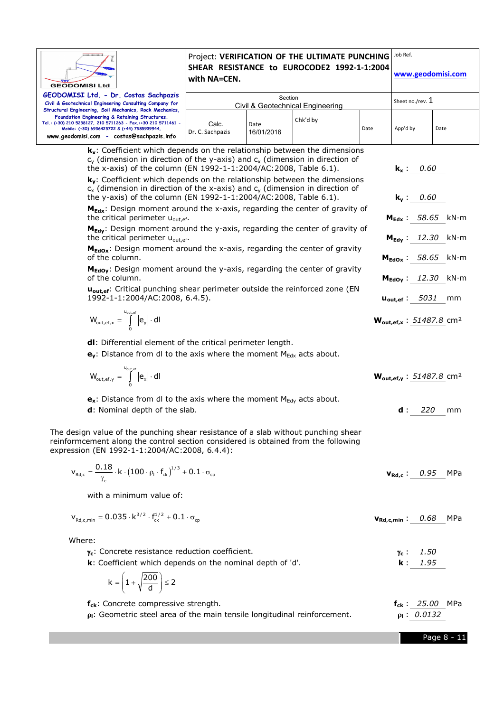| <br><b>GEODOMISI Ltd</b><br>GEODOMISI Ltd. - Dr. Costas Sachpazis                                                                                                                                                                                                                                                                                                                                                                                                                                                                                                                                                                                                                                                                                                                                                                                                                                                                                                                                                                                                                                                                                                                                                 | with NA=CEN.              | Section            | Project: VERIFICATION OF THE ULTIMATE PUNCHING<br>SHEAR RESISTANCE to EUROCODE2 1992-1-1:2004 |      | Job Ref.<br>www.geodomisi.com                                                                                                                                                                                                   |                            |
|-------------------------------------------------------------------------------------------------------------------------------------------------------------------------------------------------------------------------------------------------------------------------------------------------------------------------------------------------------------------------------------------------------------------------------------------------------------------------------------------------------------------------------------------------------------------------------------------------------------------------------------------------------------------------------------------------------------------------------------------------------------------------------------------------------------------------------------------------------------------------------------------------------------------------------------------------------------------------------------------------------------------------------------------------------------------------------------------------------------------------------------------------------------------------------------------------------------------|---------------------------|--------------------|-----------------------------------------------------------------------------------------------|------|---------------------------------------------------------------------------------------------------------------------------------------------------------------------------------------------------------------------------------|----------------------------|
| Civil & Geotechnical Engineering Consulting Company for<br>Structural Engineering, Soil Mechanics, Rock Mechanics,                                                                                                                                                                                                                                                                                                                                                                                                                                                                                                                                                                                                                                                                                                                                                                                                                                                                                                                                                                                                                                                                                                |                           |                    | Civil & Geotechnical Engineering                                                              |      | Sheet no./rev. 1                                                                                                                                                                                                                |                            |
| Foundation Engineering & Retaining Structures.<br>Tel.: (+30) 210 5238127, 210 5711263 - Fax.:+30 210 5711461 -<br>Mobile: (+30) 6936425722 & (+44) 7585939944,<br>www.geodomisi.com - costas@sachpazis.info                                                                                                                                                                                                                                                                                                                                                                                                                                                                                                                                                                                                                                                                                                                                                                                                                                                                                                                                                                                                      | Calc.<br>Dr. C. Sachpazis | Date<br>16/01/2016 | Chk'd by                                                                                      | Date | App'd by                                                                                                                                                                                                                        | Date                       |
| $k_x$ : Coefficient which depends on the relationship between the dimensions<br>$c_v$ (dimension in direction of the y-axis) and $c_x$ (dimension in direction of<br>the x-axis) of the column (EN 1992-1-1:2004/AC:2008, Table 6.1).<br>$k_v$ : Coefficient which depends on the relationship between the dimensions<br>$c_x$ (dimension in direction of the x-axis) and $c_y$ (dimension in direction of<br>the y-axis) of the column (EN 1992-1-1:2004/AC:2008, Table 6.1).<br>M <sub>Edx</sub> : Design moment around the x-axis, regarding the center of gravity of<br>the critical perimeter u <sub>out, ef</sub> .<br>M <sub>Edy</sub> : Design moment around the y-axis, regarding the center of gravity of<br>the critical perimeter u <sub>out, ef</sub> .<br>M <sub>EdOx</sub> : Design moment around the x-axis, regarding the center of gravity<br>of the column.<br>M <sub>EdOy</sub> : Design moment around the y-axis, regarding the center of gravity<br>of the column.<br>u <sub>out, ef</sub> : Critical punching shear perimeter outside the reinforced zone (EN<br>1992-1-1:2004/AC:2008, 6.4.5).<br>$W_{\text{out,ef},x} = \int_{0}^{u_{\text{out,ef}}} \left  e_y \right  \cdot \text{d}I$ |                           |                    |                                                                                               |      | 0.60<br>$k_{x}$ :<br>0.60<br>$k_v$ :<br>$M_{Edx}$ : 58.65<br>$M_{Edv}$ : 12.30<br>$M_{\text{EdOx}}$ : 58.65 kN·m<br>$M_{\text{Edov}}$ : 12.30<br>$\mathbf{u_{out,ef}}: 5031$<br>$W_{\text{out,ef,x}}$ : 51487.8 cm <sup>2</sup> | kN⋅m<br>kN⋅m<br>kN⋅m<br>mm |
| dl: Differential element of the critical perimeter length.<br>$\mathbf{e}_{\mathbf{v}}$ : Distance from dl to the axis where the moment $M_{Edx}$ acts about.<br>$W_{\mathsf{out,ef},\gamma} \, = \, \int\limits_{-\infty}^{\mathsf{u}_{\mathsf{out,ef}}} \big  \mathsf{e}_{\mathsf{x}} \big  \cdot \mathsf{d} \mathsf{l}$<br>$\mathbf{e}_{\mathbf{x}}$ : Distance from dl to the axis where the moment $M_{\text{Edy}}$ acts about.<br>d: Nominal depth of the slab.                                                                                                                                                                                                                                                                                                                                                                                                                                                                                                                                                                                                                                                                                                                                             |                           |                    |                                                                                               |      | $W_{\text{out,ef,v}}$ : 51487.8 cm <sup>2</sup><br>220<br>d:                                                                                                                                                                    | mm                         |
| The design value of the punching shear resistance of a slab without punching shear<br>reinformcement along the control section considered is obtained from the following<br>expression (EN 1992-1-1:2004/AC:2008, 6.4.4):<br>$V_{\text{Rd},c} = \frac{0.18}{\gamma} \cdot k \cdot (100 \cdot \rho_{\text{l}} \cdot f_{\text{ck}})^{1/3} + 0.1 \cdot \sigma_{\text{cp}}$<br>with a minimum value of:                                                                                                                                                                                                                                                                                                                                                                                                                                                                                                                                                                                                                                                                                                                                                                                                               |                           |                    |                                                                                               |      | $v_{Rd,c}$ : 0.95 MPa                                                                                                                                                                                                           |                            |
| $V_{\text{Rd,c,min}} = 0.035 \cdot k^{3/2} \cdot f_{ck}^{1/2} + 0.1 \cdot \sigma_{cp}$                                                                                                                                                                                                                                                                                                                                                                                                                                                                                                                                                                                                                                                                                                                                                                                                                                                                                                                                                                                                                                                                                                                            |                           |                    |                                                                                               |      | $v_{Rd,c,min}$ : 0.68                                                                                                                                                                                                           | MPa                        |
| Where:<br>Y <sub>c</sub> : Concrete resistance reduction coefficient.<br>k: Coefficient which depends on the nominal depth of 'd'.<br>$k = \left(1 + \sqrt{\frac{200}{d}}\right) \le 2$                                                                                                                                                                                                                                                                                                                                                                                                                                                                                                                                                                                                                                                                                                                                                                                                                                                                                                                                                                                                                           |                           |                    |                                                                                               |      | 1.50<br>Υc :<br>1.95<br>k :                                                                                                                                                                                                     |                            |
| f <sub>ck</sub> : Concrete compressive strength.<br>$\rho$ . Geometric steel area of the main tensile longitudinal reinforcement.                                                                                                                                                                                                                                                                                                                                                                                                                                                                                                                                                                                                                                                                                                                                                                                                                                                                                                                                                                                                                                                                                 |                           |                    |                                                                                               |      | $f_{ck}$ : 25.00 MPa<br>$p_1: 0.0132$                                                                                                                                                                                           |                            |
|                                                                                                                                                                                                                                                                                                                                                                                                                                                                                                                                                                                                                                                                                                                                                                                                                                                                                                                                                                                                                                                                                                                                                                                                                   |                           |                    |                                                                                               |      |                                                                                                                                                                                                                                 | Page 8 - 11                |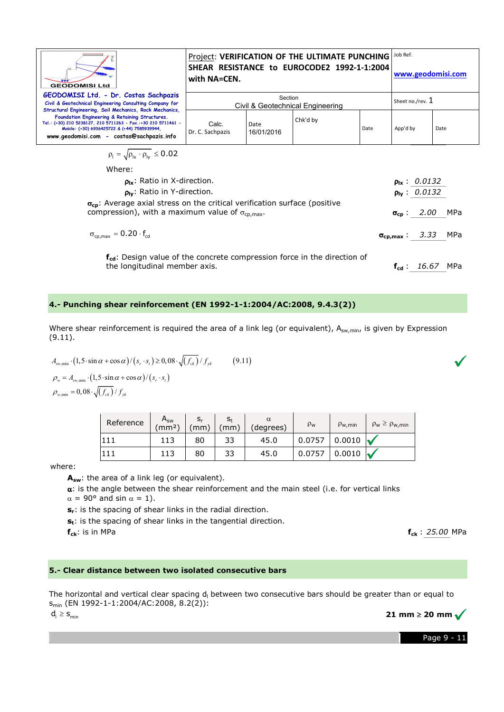| ,,,,,,,,,,,,,,,,<br><b>GEODOMISI Ltd</b>                                                                                                                                                                                                                                | Project: VERIFICATION OF THE ULTIMATE PUNCHING JOb Ref.<br>SHEAR RESISTANCE to EUROCODE2 1992-1-1:2004<br>with NA=CEN. |                    |          |                  | www.geodomisi.com |      |
|-------------------------------------------------------------------------------------------------------------------------------------------------------------------------------------------------------------------------------------------------------------------------|------------------------------------------------------------------------------------------------------------------------|--------------------|----------|------------------|-------------------|------|
| GEODOMISI Ltd. - Dr. Costas Sachpazis<br>Civil & Geotechnical Engineering Consulting Company for                                                                                                                                                                        | Section<br>Civil & Geotechnical Engineering                                                                            |                    |          | Sheet no./rev. 1 |                   |      |
| Structural Engineering, Soil Mechanics, Rock Mechanics,<br>Foundation Engineering & Retaining Structures.<br>Tel.: (+30) 210 5238127, 210 5711263 - Fax.:+30 210 5711461 -<br>Mobile: (+30) 6936425722 & (+44) 7585939944,<br>www.geodomisi.com - costas@sachpazis.info | Calc.<br>Dr. C. Sachpazis                                                                                              | Date<br>16/01/2016 | Chk'd by | Date             | App'd by          | Date |
| $\rho_{\rm l} = \sqrt{\rho_{\rm lx} \cdot \rho_{\rm IV}} \leq 0.02$                                                                                                                                                                                                     |                                                                                                                        |                    |          |                  |                   |      |

| Where:                                     |  |
|--------------------------------------------|--|
| $\rho_{\text{lx}}$ : Ratio in X-direction. |  |

|                                                                                                                                                           | $\rho_1 = \sqrt{\rho_{1x} \cdot \rho_{1y}} \le 0.02$                                                                                                                                                                                                                                                                                                                 |                                            |               |               |                                                                                      |            |                        |                                                                                                                          |                          |     |
|-----------------------------------------------------------------------------------------------------------------------------------------------------------|----------------------------------------------------------------------------------------------------------------------------------------------------------------------------------------------------------------------------------------------------------------------------------------------------------------------------------------------------------------------|--------------------------------------------|---------------|---------------|--------------------------------------------------------------------------------------|------------|------------------------|--------------------------------------------------------------------------------------------------------------------------|--------------------------|-----|
|                                                                                                                                                           | Where:                                                                                                                                                                                                                                                                                                                                                               |                                            |               |               |                                                                                      |            |                        |                                                                                                                          |                          |     |
|                                                                                                                                                           |                                                                                                                                                                                                                                                                                                                                                                      | $\rho_{\text{lx}}$ : Ratio in X-direction. |               |               |                                                                                      |            |                        |                                                                                                                          | $p_{\text{lx}}$ : 0.0132 |     |
| $\rho_{\text{IV}}$ : Ratio in Y-direction.                                                                                                                |                                                                                                                                                                                                                                                                                                                                                                      |                                            |               |               |                                                                                      |            |                        |                                                                                                                          | $p_{1y}$ : 0.0132        |     |
| σ <sub>cp</sub> : Average axial stress on the critical verification surface (positive<br>compression), with a maximum value of $\sigma_{\text{co,max}}$ . |                                                                                                                                                                                                                                                                                                                                                                      |                                            |               |               |                                                                                      |            | $\sigma_{\text{cp}}$ : | 2.00                                                                                                                     | MPa                      |     |
|                                                                                                                                                           | $\sigma_{cp,max} = 0.20 \cdot f_{cd}$                                                                                                                                                                                                                                                                                                                                |                                            |               |               |                                                                                      |            |                        | $\sigma_{\rm cb,max}$ :                                                                                                  | 3.33                     | MPa |
|                                                                                                                                                           | the longitudinal member axis.                                                                                                                                                                                                                                                                                                                                        |                                            |               |               | f <sub>cd</sub> : Design value of the concrete compression force in the direction of |            |                        |                                                                                                                          | $f_{cd}$ : 16.67 MPa     |     |
|                                                                                                                                                           | Punching shear reinforcement (EN 1992-1-1:2004/AC:2008, 9.4.3(2))                                                                                                                                                                                                                                                                                                    |                                            |               |               |                                                                                      |            |                        |                                                                                                                          |                          |     |
| 11).<br>$_{\rm min}=0.08\cdot\sqrt{\left(f_{ck}\right)}/f_{vk}$                                                                                           | $\lim_{t \to \infty} \left(1, 5 \cdot \sin \alpha + \cos \alpha\right) / \left(s_r \cdot s_t\right) \geq 0,08 \cdot \sqrt{\left(f_{ck}\right)} / f_{yk}$<br>$= A_{\rm sw,min} \cdot (1, 5 \cdot \sin \alpha + \cos \alpha) / (s_r \cdot s_t)$                                                                                                                        |                                            |               | (9.11)        |                                                                                      |            |                        | ere shear reinforcement is required the area of a link leg (or equivalent), A <sub>sw,min</sub> , is given by Expression |                          |     |
|                                                                                                                                                           | Reference                                                                                                                                                                                                                                                                                                                                                            | $A_{sw}$<br>(mm <sup>2</sup> )             | $S_r$<br>(mm) | $s_t$<br>(mm) | $\alpha$<br>(degrees)                                                                | $\rho_{w}$ | $\rho_{w,min}$         | $\rho_w \ge \rho_{w,min}$                                                                                                |                          |     |
|                                                                                                                                                           | 111                                                                                                                                                                                                                                                                                                                                                                  | 113                                        | 80            | 33            | 45.0                                                                                 | 0.0757     | 0.0010                 |                                                                                                                          |                          |     |
|                                                                                                                                                           | 111                                                                                                                                                                                                                                                                                                                                                                  | 113                                        | 80            | 33            | 45.0                                                                                 | 0.0757     | 0.0010                 |                                                                                                                          |                          |     |
| ere:<br>$f_{ck}$ : is in MPa                                                                                                                              | $A_{sw}$ : the area of a link leg (or equivalent).<br>$\alpha$ : is the angle between the shear reinforcement and the main steel (i.e. for vertical links<br>$\alpha = 90^{\circ}$ and sin $\alpha = 1$ ).<br>s <sub>r</sub> : is the spacing of shear links in the radial direction.<br>s <sub>t</sub> : is the spacing of shear links in the tangential direction. |                                            |               |               |                                                                                      |            |                        |                                                                                                                          | $f_{ck}$ : 25.00 MPa     |     |
|                                                                                                                                                           | Clear distance between two isolated consecutive bars                                                                                                                                                                                                                                                                                                                 |                                            |               |               |                                                                                      |            |                        |                                                                                                                          |                          |     |
|                                                                                                                                                           | $(EN 1992-1-1:2004/AC:2008, 8.2(2))$ :                                                                                                                                                                                                                                                                                                                               |                                            |               |               |                                                                                      |            |                        | e horizontal and vertical clear spacing d <sub>i</sub> between two consecutive bars should be greater than or equal to   |                          |     |

#### **4.- Punching shear reinforcement (EN 1992 reinforcement 1992-1-1:2004/AC:2008, 9.4.3(2)) 1:2004/AC:2008,**

$$
A_{\text{sw,min}} \cdot (1, 5 \cdot \sin \alpha + \cos \alpha) / (s_r \cdot s_t) \ge 0,08 \cdot \sqrt{(f_{ck})} / f_{yk}
$$
 (9.11)  

$$
\rho_w = A_{\text{sw,min}} \cdot (1, 5 \cdot \sin \alpha + \cos \alpha) / (s_r \cdot s_t)
$$

 $\rho_{_{\rm w,min}}$  =  $0,08\cdot\sqrt{\left(f_{_{ck}}\right)/f_{_{yk}}}$ 

| Reference | $A_{SW}$<br>(mm <sup>2</sup> ) | $S_r$<br>(mm) | $S_t$<br>(mm) | $\alpha$<br>(degrees) | $\rho_w$ | $\rho_{w,min}$ | $\rho_w \ge \rho_{w,min}$ |
|-----------|--------------------------------|---------------|---------------|-----------------------|----------|----------------|---------------------------|
|           | 113                            | 80            | 33            | 45.0                  | 0.0757   | 0.0010         |                           |
|           | 113                            | 80            | 33            | 45.0                  | 0.0757   | 0.0010         |                           |

#### where:

#### **5.- Clear distance between two isolated consecutive bars**

The horizontal and vertical clear spacing  $\mathsf{d}_\mathsf{l}$  between two consecutive bars should be greater than or equal to smin (EN 1992-1-1:2004/AC:2008, 8.2(2)): **21 mm** ≥ **20 mm**

 $d_1 \geq S_{\text{min}}$ 

Page 9 - 11

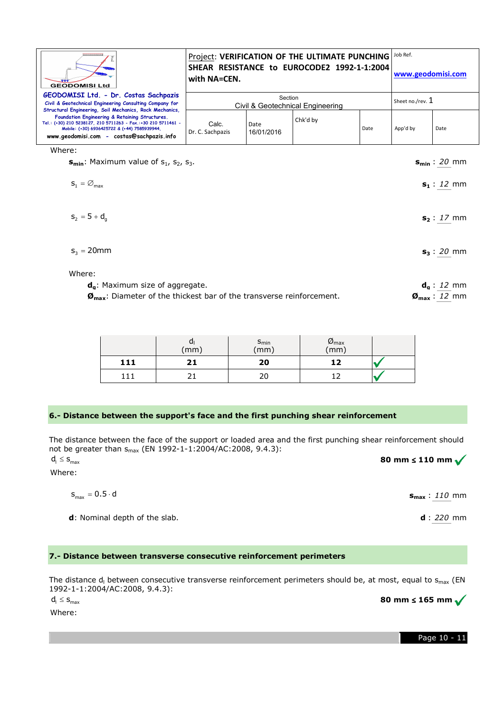| ,,,,,,,,,,,,,,,,<br><b>GEODOMISI Ltd</b>                                                                                                                                                                                                                                | Project: VERIFICATION OF THE ULTIMATE PUNCHING   JOb Ref.<br>SHEAR RESISTANCE to EUROCODE2 1992-1-1:2004<br>with NA=CEN. |                    |          |      | www.geodomisi.com |      |
|-------------------------------------------------------------------------------------------------------------------------------------------------------------------------------------------------------------------------------------------------------------------------|--------------------------------------------------------------------------------------------------------------------------|--------------------|----------|------|-------------------|------|
| GEODOMISI Ltd. - Dr. Costas Sachpazis<br>Civil & Geotechnical Engineering Consulting Company for                                                                                                                                                                        | Section<br>Civil & Geotechnical Engineering                                                                              |                    |          |      | Sheet no./rev. 1  |      |
| Structural Engineering, Soil Mechanics, Rock Mechanics,<br>Foundation Engineering & Retaining Structures.<br>Tel.: (+30) 210 5238127, 210 5711263 - Fax.:+30 210 5711461 -<br>Mobile: (+30) 6936425722 & (+44) 7585939944.<br>www.geodomisi.com - costas@sachpazis.info | Calc.<br>Dr. C. Sachpazis                                                                                                | Date<br>16/01/2016 | Chk'd by | Date | App'd by          | Date |

Where:

**s<sub>min</sub>**: Maximum value of s<sub>1</sub>, s<sub>2</sub>, s<sub>3</sub>.

| $S_1 = \varnothing_{\text{max}}$ | $s_1: 12 \text{ mm}$ |
|----------------------------------|----------------------|
| $s_2 = 5 + d_g$                  | $s_2: 17 \text{ mm}$ |

$$
s_3 = 20 \text{mm}
$$
  $s_3 : \underline{20} \text{mm}$ 

Where:

| $d_a$ : Maximum size of aggregate.                                                                      |                                              | $d_{q}: 12 \text{ mm}$  |  |  |
|---------------------------------------------------------------------------------------------------------|----------------------------------------------|-------------------------|--|--|
| $\boldsymbol{\mathcal{D}}_{\text{max}}$ : Diameter of the thickest bar of the transverse reinforcement. | $\boldsymbol{0}_{\text{max}}: 12 \text{ mm}$ |                         |  |  |
|                                                                                                         |                                              |                         |  |  |
|                                                                                                         |                                              |                         |  |  |
|                                                                                                         |                                              |                         |  |  |
|                                                                                                         | >min                                         | $\omega_{\textsf{max}}$ |  |  |

|     | u<br>(mm) | s <sub>min</sub><br>(mm) | $\frac{\omega_{\sf max}}{\rm (mm)}$ |  |
|-----|-----------|--------------------------|-------------------------------------|--|
| 111 |           | 20                       | 12                                  |  |
|     |           |                          |                                     |  |

#### **6.- Distance between the support's face and the first punching shear reinforcement**

The distance between the face of the support or loaded area and the first punching shear r reinforcement should not be greater than s<sub>max</sub> (EN 1992-1-1:2004/AC:2008, 9.4.3):

Where:  $d_1 \leq S_{\text{max}}$ 

**smax** : *110* mm

**80 mm** ≤ **110 mm**

**d**: Nominal depth of the slab.

 $s_{\text{max}} = 0.5 \cdot d$ 

#### **7.- Distance between transverse consecutive reinforcemen reinforcement perimeters**

The distance d<sub>i</sub> between consecutive transverse reinforcement perimeters should be, at most, equal to s<sub>max</sub> (EN 1992-1-1:2004/AC:2008, 9.4.3): **80 mm** ≤ **165 mm**

 $d_i \leq S_{\text{max}}$ 

Where:

Page 10 - 11

**smin** : *20* mm

**d** : *220* mm